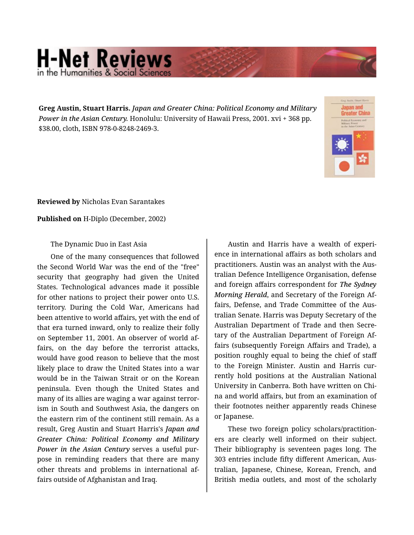## **H-Net Reviews** in the Humanities & Social Scie

**Greg Austin, Stuart Harris.** *Japan and Greater China: Political Economy and Military Power in the Asian Century.* Honolulu: University of Hawaii Press, 2001. xvi + 368 pp. \$38.00, cloth, ISBN 978-0-8248-2469-3.



**Reviewed by** Nicholas Evan Sarantakes

**Published on** H-Diplo (December, 2002)

The Dynamic Duo in East Asia

One of the many consequences that followed the Second World War was the end of the "free" security that geography had given the United States. Technological advances made it possible for other nations to project their power onto U.S. territory. During the Cold War, Americans had been attentive to world affairs, yet with the end of that era turned inward, only to realize their folly on September 11, 2001. An observer of world af‐ fairs, on the day before the terrorist attacks, would have good reason to believe that the most likely place to draw the United States into a war would be in the Taiwan Strait or on the Korean peninsula. Even though the United States and many of its allies are waging a war against terror‐ ism in South and Southwest Asia, the dangers on the eastern rim of the continent still remain. As a result, Greg Austin and Stuart Harris's *Japan and Greater China: Political Economy and Military Power in the Asian Century* serves a useful pur‐ pose in reminding readers that there are many other threats and problems in international af‐ fairs outside of Afghanistan and Iraq.

Austin and Harris have a wealth of experi‐ ence in international affairs as both scholars and practitioners. Austin was an analyst with the Aus‐ tralian Defence Intelligence Organisation, defense and foreign affairs correspondent for *The Sydney Morning Herald*, and Secretary of the Foreign Af‐ fairs, Defense, and Trade Committee of the Aus‐ tralian Senate. Harris was Deputy Secretary of the Australian Department of Trade and then Secre‐ tary of the Australian Department of Foreign Af‐ fairs (subsequently Foreign Affairs and Trade), a position roughly equal to being the chief of staff to the Foreign Minister. Austin and Harris cur‐ rently hold positions at the Australian National University in Canberra. Both have written on Chi‐ na and world affairs, but from an examination of their footnotes neither apparently reads Chinese or Japanese.

These two foreign policy scholars/practition‐ ers are clearly well informed on their subject. Their bibliography is seventeen pages long. The 303 entries include fifty different American, Aus‐ tralian, Japanese, Chinese, Korean, French, and British media outlets, and most of the scholarly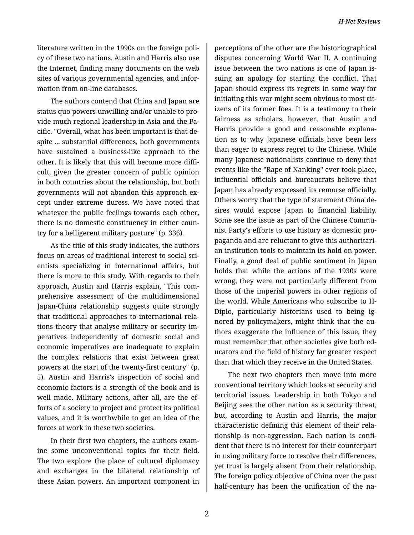literature written in the 1990s on the foreign poli‐ cy of these two nations. Austin and Harris also use the Internet, finding many documents on the web sites of various governmental agencies, and infor‐ mation from on-line databases.

The authors contend that China and Japan are status quo powers unwilling and/or unable to pro‐ vide much regional leadership in Asia and the Pa‐ cific. "Overall, what has been important is that de‐ spite ... substantial differences, both governments have sustained a business-like approach to the other. It is likely that this will become more diffi‐ cult, given the greater concern of public opinion in both countries about the relationship, but both governments will not abandon this approach ex‐ cept under extreme duress. We have noted that whatever the public feelings towards each other, there is no domestic constituency in either coun‐ try for a belligerent military posture" (p. 336).

As the title of this study indicates, the authors focus on areas of traditional interest to social sci‐ entists specializing in international affairs, but there is more to this study. With regards to their approach, Austin and Harris explain, "This com‐ prehensive assessment of the multidimensional Japan-China relationship suggests quite strongly that traditional approaches to international rela‐ tions theory that analyse military or security im‐ peratives independently of domestic social and economic imperatives are inadequate to explain the complex relations that exist between great powers at the start of the twenty-first century" (p. 5). Austin and Harris's inspection of social and economic factors is a strength of the book and is well made. Military actions, after all, are the efforts of a society to project and protect its political values, and it is worthwhile to get an idea of the forces at work in these two societies.

In their first two chapters, the authors exam‐ ine some unconventional topics for their field. The two explore the place of cultural diplomacy and exchanges in the bilateral relationship of these Asian powers. An important component in

perceptions of the other are the historiographical disputes concerning World War II. A continuing issue between the two nations is one of Japan is‐ suing an apology for starting the conflict. That Japan should express its regrets in some way for initiating this war might seem obvious to most cit‐ izens of its former foes. It is a testimony to their fairness as scholars, however, that Austin and Harris provide a good and reasonable explana‐ tion as to why Japanese officials have been less than eager to express regret to the Chinese. While many Japanese nationalists continue to deny that events like the "Rape of Nanking" ever took place, influential officials and bureaucrats believe that Japan has already expressed its remorse officially. Others worry that the type of statement China de‐ sires would expose Japan to financial liability. Some see the issue as part of the Chinese Commu‐ nist Party's efforts to use history as domestic pro‐ paganda and are reluctant to give this authoritari‐ an institution tools to maintain its hold on power. Finally, a good deal of public sentiment in Japan holds that while the actions of the 1930s were wrong, they were not particularly different from those of the imperial powers in other regions of the world. While Americans who subscribe to H-Diplo, particularly historians used to being ig‐ nored by policymakers, might think that the au‐ thors exaggerate the influence of this issue, they must remember that other societies give both ed‐ ucators and the field of history far greater respect than that which they receive in the United States.

The next two chapters then move into more conventional territory which looks at security and territorial issues. Leadership in both Tokyo and Beijing sees the other nation as a security threat, but, according to Austin and Harris, the major characteristic defining this element of their rela‐ tionship is non-aggression. Each nation is confi‐ dent that there is no interest for their counterpart in using military force to resolve their differences, yet trust is largely absent from their relationship. The foreign policy objective of China over the past half-century has been the unification of the na‐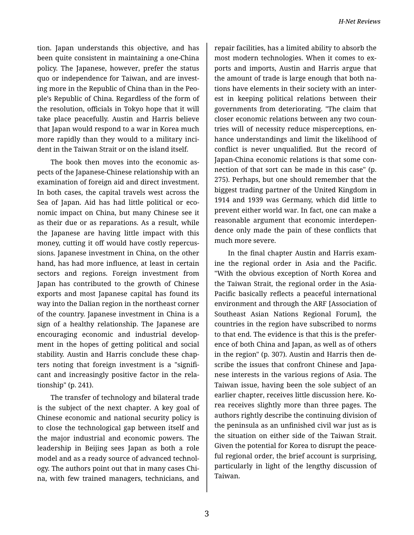tion. Japan understands this objective, and has been quite consistent in maintaining a one-China policy. The Japanese, however, prefer the status quo or independence for Taiwan, and are invest‐ ing more in the Republic of China than in the Peo‐ ple's Republic of China. Regardless of the form of the resolution, officials in Tokyo hope that it will take place peacefully. Austin and Harris believe that Japan would respond to a war in Korea much more rapidly than they would to a military inci‐ dent in the Taiwan Strait or on the island itself.

The book then moves into the economic as‐ pects of the Japanese-Chinese relationship with an examination of foreign aid and direct investment. In both cases, the capital travels west across the Sea of Japan. Aid has had little political or eco‐ nomic impact on China, but many Chinese see it as their due or as reparations. As a result, while the Japanese are having little impact with this money, cutting it off would have costly repercus‐ sions. Japanese investment in China, on the other hand, has had more influence, at least in certain sectors and regions. Foreign investment from Japan has contributed to the growth of Chinese exports and most Japanese capital has found its way into the Dalian region in the northeast corner of the country. Japanese investment in China is a sign of a healthy relationship. The Japanese are encouraging economic and industrial develop‐ ment in the hopes of getting political and social stability. Austin and Harris conclude these chap‐ ters noting that foreign investment is a "signifi‐ cant and increasingly positive factor in the rela‐ tionship" (p. 241).

The transfer of technology and bilateral trade is the subject of the next chapter. A key goal of Chinese economic and national security policy is to close the technological gap between itself and the major industrial and economic powers. The leadership in Beijing sees Japan as both a role model and as a ready source of advanced technol‐ ogy. The authors point out that in many cases Chi‐ na, with few trained managers, technicians, and

repair facilities, has a limited ability to absorb the most modern technologies. When it comes to ex‐ ports and imports, Austin and Harris argue that the amount of trade is large enough that both na‐ tions have elements in their society with an inter‐ est in keeping political relations between their governments from deteriorating. "The claim that closer economic relations between any two coun‐ tries will of necessity reduce misperceptions, en‐ hance understandings and limit the likelihood of conflict is never unqualified. But the record of Japan-China economic relations is that some con‐ nection of that sort can be made in this case" (p. 275). Perhaps, but one should remember that the biggest trading partner of the United Kingdom in 1914 and 1939 was Germany, which did little to prevent either world war. In fact, one can make a reasonable argument that economic interdepen‐ dence only made the pain of these conflicts that much more severe.

In the final chapter Austin and Harris exam‐ ine the regional order in Asia and the Pacific. "With the obvious exception of North Korea and the Taiwan Strait, the regional order in the Asia-Pacific basically reflects a peaceful international environment and through the ARF [Association of Southeast Asian Nations Regional Forum], the countries in the region have subscribed to norms to that end. The evidence is that this is the prefer‐ ence of both China and Japan, as well as of others in the region" (p. 307). Austin and Harris then de‐ scribe the issues that confront Chinese and Japa‐ nese interests in the various regions of Asia. The Taiwan issue, having been the sole subject of an earlier chapter, receives little discussion here. Ko‐ rea receives slightly more than three pages. The authors rightly describe the continuing division of the peninsula as an unfinished civil war just as is the situation on either side of the Taiwan Strait. Given the potential for Korea to disrupt the peace‐ ful regional order, the brief account is surprising, particularly in light of the lengthy discussion of Taiwan.